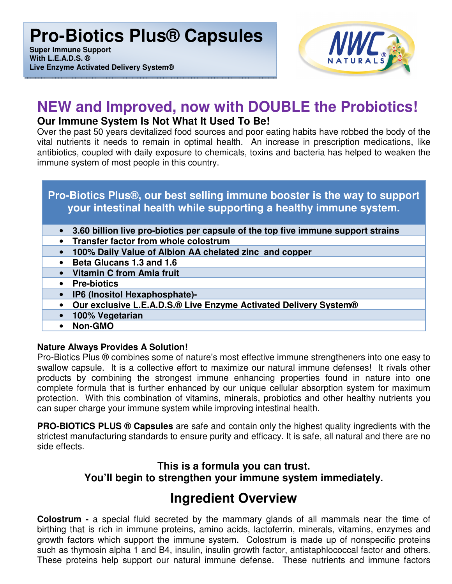**Super Immune Support With L.E.A.D.S. ® Live Enzyme Activated Delivery System®**



## **NEW and Improved, now with DOUBLE the Probiotics! Our Immune System Is Not What It Used To Be!**

Over the past 50 years devitalized food sources and poor eating habits have robbed the body of the vital nutrients it needs to remain in optimal health. An increase in prescription medications, like antibiotics, coupled with daily exposure to chemicals, toxins and bacteria has helped to weaken the immune system of most people in this country.

### **Pro-Biotics Plus®, our best selling immune booster is the way to support your intestinal health while supporting a healthy immune system.**

- **3.60 billion live pro-biotics per capsule of the top five immune support strains**
- **Transfer factor from whole colostrum**
- **100% Daily Value of Albion AA chelated zinc and copper**
- **Beta Glucans 1.3 and 1.6**
- **Vitamin C from Amla fruit**
- **Pre-biotics**
- **IP6 (Inositol Hexaphosphate)-**
- **Our exclusive L.E.A.D.S.® Live Enzyme Activated Delivery System®**
- **100% Vegetarian**
- **Non-GMO**

#### **Nature Always Provides A Solution!**

Pro-Biotics Plus ® combines some of nature's most effective immune strengtheners into one easy to swallow capsule. It is a collective effort to maximize our natural immune defenses! It rivals other products by combining the strongest immune enhancing properties found in nature into one complete formula that is further enhanced by our unique cellular absorption system for maximum protection. With this combination of vitamins, minerals, probiotics and other healthy nutrients you can super charge your immune system while improving intestinal health.

**PRO-BIOTICS PLUS ® Capsules** are safe and contain only the highest quality ingredients with the strictest manufacturing standards to ensure purity and efficacy. It is safe, all natural and there are no side effects.

## **This is a formula you can trust. You'll begin to strengthen your immune system immediately.**

## **Ingredient Overview**

**Colostrum -** a special fluid secreted by the mammary glands of all mammals near the time of birthing that is rich in immune proteins, amino acids, lactoferrin, minerals, vitamins, enzymes and growth factors which support the immune system. Colostrum is made up of nonspecific proteins such as thymosin alpha 1 and B4, insulin, insulin growth factor, antistaphlococcal factor and others. These proteins help support our natural immune defense. These nutrients and immune factors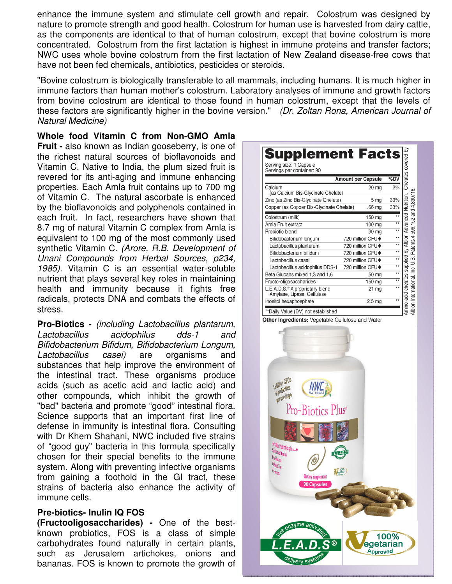enhance the immune system and stimulate cell growth and repair. Colostrum was designed by nature to promote strength and good health. Colostrum for human use is harvested from dairy cattle, as the components are identical to that of human colostrum, except that bovine colostrum is more concentrated. Colostrum from the first lactation is highest in immune proteins and transfer factors; NWC uses whole bovine colostrum from the first lactation of New Zealand disease-free cows that have not been fed chemicals, antibiotics, pesticides or steroids.

"Bovine colostrum is biologically transferable to all mammals, including humans. It is much higher in immune factors than human mother's colostrum. Laboratory analyses of immune and growth factors from bovine colostrum are identical to those found in human colostrum, except that the levels of these factors are significantly higher in the bovine version." (Dr. Zoltan Rona, American Journal of Natural Medicine)

**Whole food Vitamin C from Non-GMO Amla** 

**Fruit -** also known as Indian gooseberry, is one of the richest natural sources of bioflavonoids and Vitamin C. Native to India, the plum sized fruit is revered for its anti-aging and immune enhancing properties. Each Amla fruit contains up to 700 mg of Vitamin C. The natural ascorbate is enhanced by the bioflavonoids and polyphenols contained in each fruit. In fact, researchers have shown that 8.7 mg of natural Vitamin C complex from Amla is equivalent to 100 mg of the most commonly used synthetic Vitamin C. (Arore, R.B. Development of Unani Compounds from Herbal Sources, p234, 1985). Vitamin C is an essential water-soluble nutrient that plays several key roles in maintaining health and immunity because it fights free radicals, protects DNA and combats the effects of stress.

**Pro-Biotics -** (including Lactobacillus plantarum, Lactobacillus acidophilus dds-1 and Bifidobacterium Bifidum, Bifidobacterium Longum, Lactobacillus casei) are organisms and substances that help improve the environment of the intestinal tract. These organisms produce acids (such as acetic acid and lactic acid) and other compounds, which inhibit the growth of "bad" bacteria and promote "good" intestinal flora. Science supports that an important first line of defense in immunity is intestinal flora. Consulting with Dr Khem Shahani, NWC included five strains of "good guy" bacteria in this formula specifically chosen for their special benefits to the immune system. Along with preventing infective organisms from gaining a foothold in the GI tract, these strains of bacteria also enhance the activity of immune cells.

#### **Pre-biotics- Inulin IQ FOS**

**(Fructooligosaccharides) -** One of the bestknown probiotics, FOS is a class of simple carbohydrates found naturally in certain plants, such as Jerusalem artichokes, onions and bananas. FOS is known to promote the growth of

| Serving size: 1 Capsule<br>Servings per container: 90                     |                           | Chelates covered by     |
|---------------------------------------------------------------------------|---------------------------|-------------------------|
|                                                                           | <b>Amount per Capsule</b> | %DV                     |
| Calcium<br>(as Calcium Bis-Glycinate Chelate)                             | 20 mg                     | 2%                      |
| Zinc (as Zinc Bis-Glycinate Chelate)                                      | 5 mg                      | 33%                     |
| Copper (as Copper Bis-Glycinate Chelate)                                  | .66 <sub>mg</sub>         | 33%                     |
| Colostrum (milk)                                                          | 150 mg                    | $\star\star$            |
| Amla Fruit extract                                                        | 100 mg                    | $\overline{\star}$      |
| Probiotic blend                                                           | 90 mg                     | $\overline{**}$         |
| Bifidobacterium longum                                                    | 720 million CFU+          | $\star\star$            |
| Lactobacillus plantarum                                                   | 720 million CFU◆          | $\overline{\ast}$       |
| Bifidobacterium bifidum                                                   | 720 million CFU+          | $\overline{**}$         |
| Lactobacillus casei                                                       | 720 million CFU+          | $\star\star$            |
| Lactobacillus acidophilus DDS-1                                           | 720 million CFU+          | $\overline{\star\star}$ |
| Beta Glucans mixed 1,3 and 1,6                                            | 50 mg                     | **                      |
| Fructo-oligosaccharides                                                   | 150 mg                    | $\overline{**}$         |
| L.E.A.D.S. <sup>®</sup> A proprietary blend<br>Amylase, Lipase, Cellulase | 21 mg                     | $\star\star$            |
| Inositol hexaphosphate                                                    | 2.5 <sub>mg</sub>         | $\overline{\ast}$       |

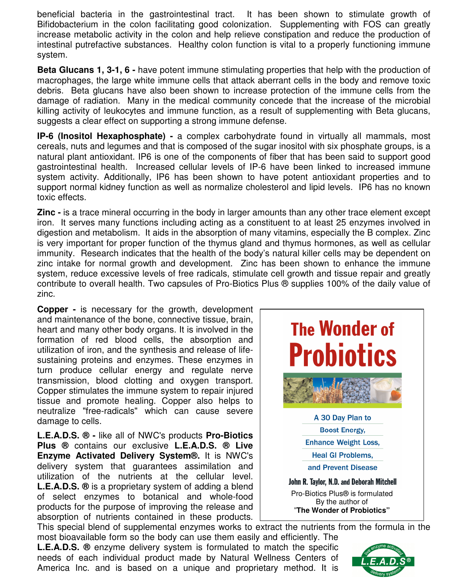beneficial bacteria in the gastrointestinal tract. It has been shown to stimulate growth of Bifidobacterium in the colon facilitating good colonization. Supplementing with FOS can greatly increase metabolic activity in the colon and help relieve constipation and reduce the production of intestinal putrefactive substances. Healthy colon function is vital to a properly functioning immune system.

**Beta Glucans 1, 3-1, 6 -** have potent immune stimulating properties that help with the production of macrophages, the large white immune cells that attack aberrant cells in the body and remove toxic debris. Beta glucans have also been shown to increase protection of the immune cells from the damage of radiation. Many in the medical community concede that the increase of the microbial killing activity of leukocytes and immune function, as a result of supplementing with Beta glucans, suggests a clear effect on supporting a strong immune defense.

**IP-6 (Inositol Hexaphosphate) -** a complex carbohydrate found in virtually all mammals, most cereals, nuts and legumes and that is composed of the sugar inositol with six phosphate groups, is a natural plant antioxidant. IP6 is one of the components of fiber that has been said to support good gastrointestinal health. Increased cellular levels of IP-6 have been linked to increased immune system activity. Additionally, IP6 has been shown to have potent antioxidant properties and to support normal kidney function as well as normalize cholesterol and lipid levels. IP6 has no known toxic effects.

**Zinc -** is a trace mineral occurring in the body in larger amounts than any other trace element except iron. It serves many functions including acting as a constituent to at least 25 enzymes involved in digestion and metabolism. It aids in the absorption of many vitamins, especially the B complex. Zinc is very important for proper function of the thymus gland and thymus hormones, as well as cellular immunity. Research indicates that the health of the body's natural killer cells may be dependent on zinc intake for normal growth and development. Zinc has been shown to enhance the immune system, reduce excessive levels of free radicals, stimulate cell growth and tissue repair and greatly contribute to overall health. Two capsules of Pro-Biotics Plus ® supplies 100% of the daily value of zinc.

**Copper -** is necessary for the growth, development and maintenance of the bone, connective tissue, brain, heart and many other body organs. It is involved in the formation of red blood cells, the absorption and utilization of iron, and the synthesis and release of lifesustaining proteins and enzymes. These enzymes in turn produce cellular energy and regulate nerve transmission, blood clotting and oxygen transport. Copper stimulates the immune system to repair injured tissue and promote healing. Copper also helps to neutralize "free-radicals" which can cause severe damage to cells.

**L.E.A.D.S. ® -** like all of NWC's products **Pro-Biotics Plus ®** contains our exclusive **L.E.A.D.S. ® Live Enzyme Activated Delivery System®.** It is NWC's delivery system that guarantees assimilation and utilization of the nutrients at the cellular level. **L.E.A.D.S. ®** is a proprietary system of adding a blend of select enzymes to botanical and whole-food products for the purpose of improving the release and absorption of nutrients contained in these products.



This special blend of supplemental enzymes works to extract the nutrients from the formula in the most bioavailable form so the body can use them easily and efficiently. The

**L.E.A.D.S. ®** enzyme delivery system is formulated to match the specific needs of each individual product made by Natural Wellness Centers of America Inc. and is based on a unique and proprietary method. It is